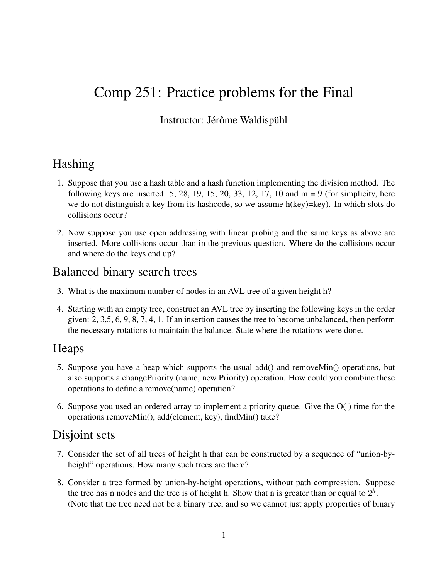# Comp 251: Practice problems for the Final

#### Instructor: Jérôme Waldispühl

#### Hashing

- 1. Suppose that you use a hash table and a hash function implementing the division method. The following keys are inserted: 5, 28, 19, 15, 20, 33, 12, 17, 10 and  $m = 9$  (for simplicity, here we do not distinguish a key from its hashcode, so we assume  $h(key)=key)$ . In which slots do collisions occur?
- 2. Now suppose you use open addressing with linear probing and the same keys as above are inserted. More collisions occur than in the previous question. Where do the collisions occur and where do the keys end up?

### Balanced binary search trees

- 3. What is the maximum number of nodes in an AVL tree of a given height h?
- 4. Starting with an empty tree, construct an AVL tree by inserting the following keys in the order given: 2, 3,5, 6, 9, 8, 7, 4, 1. If an insertion causes the tree to become unbalanced, then perform the necessary rotations to maintain the balance. State where the rotations were done.

#### Heaps

- 5. Suppose you have a heap which supports the usual add() and removeMin() operations, but also supports a changePriority (name, new Priority) operation. How could you combine these operations to define a remove(name) operation?
- 6. Suppose you used an ordered array to implement a priority queue. Give the O( ) time for the operations removeMin(), add(element, key), findMin() take?

#### Disjoint sets

- 7. Consider the set of all trees of height h that can be constructed by a sequence of "union-byheight" operations. How many such trees are there?
- 8. Consider a tree formed by union-by-height operations, without path compression. Suppose the tree has n nodes and the tree is of height h. Show that n is greater than or equal to  $2<sup>h</sup>$ . (Note that the tree need not be a binary tree, and so we cannot just apply properties of binary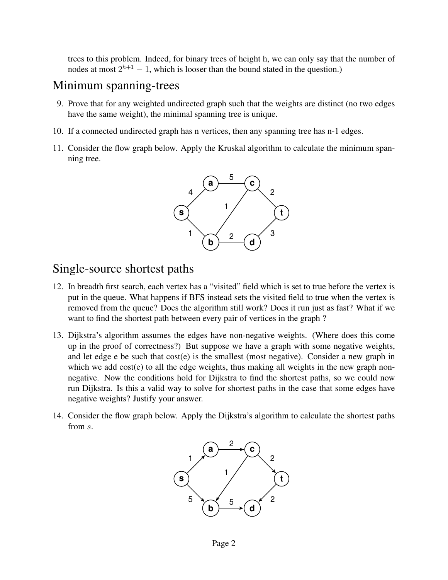trees to this problem. Indeed, for binary trees of height h, we can only say that the number of nodes at most  $2^{h+1} - 1$ , which is looser than the bound stated in the question.)

## Minimum spanning-trees

- 9. Prove that for any weighted undirected graph such that the weights are distinct (no two edges have the same weight), the minimal spanning tree is unique.
- 10. If a connected undirected graph has n vertices, then any spanning tree has n-1 edges.
- 11. Consider the flow graph below. Apply the Kruskal algorithm to calculate the minimum spanning tree.



## Single-source shortest paths

- 12. In breadth first search, each vertex has a "visited" field which is set to true before the vertex is put in the queue. What happens if BFS instead sets the visited field to true when the vertex is removed from the queue? Does the algorithm still work? Does it run just as fast? What if we want to find the shortest path between every pair of vertices in the graph ?
- 13. Dijkstra's algorithm assumes the edges have non-negative weights. (Where does this come up in the proof of correctness?) But suppose we have a graph with some negative weights, and let edge e be such that cost(e) is the smallest (most negative). Consider a new graph in which we add cost(e) to all the edge weights, thus making all weights in the new graph nonnegative. Now the conditions hold for Dijkstra to find the shortest paths, so we could now run Dijkstra. Is this a valid way to solve for shortest paths in the case that some edges have negative weights? Justify your answer.
- 14. Consider the flow graph below. Apply the Dijkstra's algorithm to calculate the shortest paths from s.

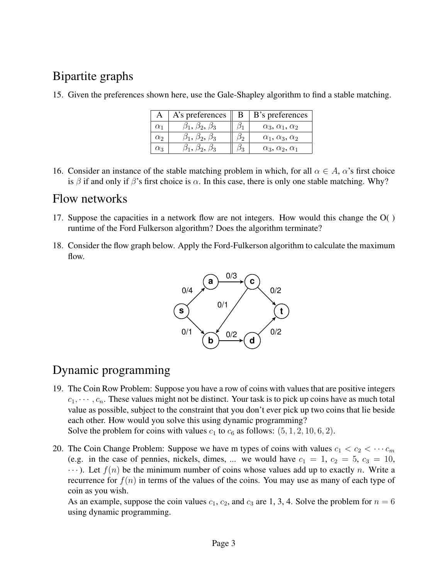# Bipartite graphs

|            | A's preferences                   | В | B's preferences                |
|------------|-----------------------------------|---|--------------------------------|
| $\alpha_1$ | $\beta_1, \, \beta_2, \, \beta_3$ |   | $\alpha_3, \alpha_1, \alpha_2$ |
| $\alpha$   | $\beta_1, \, \beta_2, \, \beta_3$ |   | $\alpha_1, \alpha_3, \alpha_2$ |
| Œз         |                                   |   | $\alpha_3, \alpha_2, \alpha_1$ |

15. Given the preferences shown here, use the Gale-Shapley algorithm to find a stable matching.

16. Consider an instance of the stable matching problem in which, for all  $\alpha \in A$ ,  $\alpha$ 's first choice is  $\beta$  if and only if  $\beta$ 's first choice is  $\alpha$ . In this case, there is only one stable matching. Why?

## Flow networks

- 17. Suppose the capacities in a network flow are not integers. How would this change the O( ) runtime of the Ford Fulkerson algorithm? Does the algorithm terminate?
- 18. Consider the flow graph below. Apply the Ford-Fulkerson algorithm to calculate the maximum flow.



# Dynamic programming

19. The Coin Row Problem: Suppose you have a row of coins with values that are positive integers  $c_1, \dots, c_n$ . These values might not be distinct. Your task is to pick up coins have as much total value as possible, subject to the constraint that you don't ever pick up two coins that lie beside each other. How would you solve this using dynamic programming?

Solve the problem for coins with values  $c_1$  to  $c_6$  as follows:  $(5, 1, 2, 10, 6, 2)$ .

20. The Coin Change Problem: Suppose we have m types of coins with values  $c_1 < c_2 < \cdots c_m$ (e.g. in the case of pennies, nickels, dimes, ... we would have  $c_1 = 1$ ,  $c_2 = 5$ ,  $c_3 = 10$ ,  $\cdots$ ). Let  $f(n)$  be the minimum number of coins whose values add up to exactly n. Write a recurrence for  $f(n)$  in terms of the values of the coins. You may use as many of each type of coin as you wish.

As an example, suppose the coin values  $c_1$ ,  $c_2$ , and  $c_3$  are 1, 3, 4. Solve the problem for  $n = 6$ using dynamic programming.